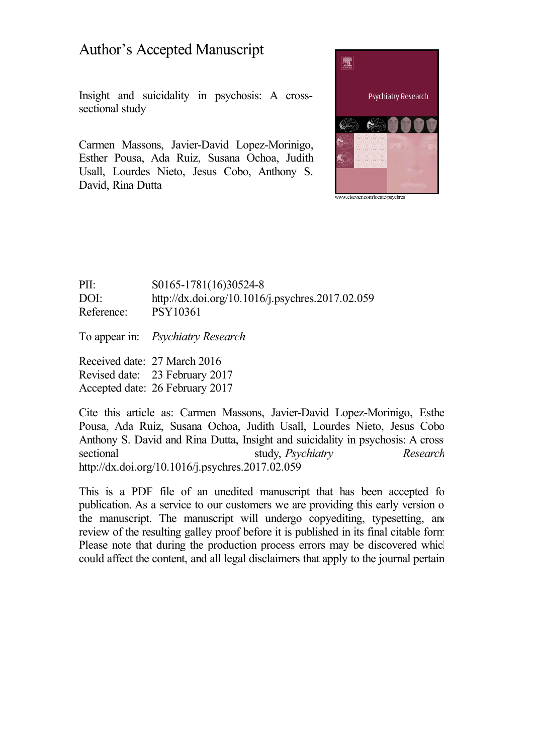# Author's Accepted Manuscript

Insight and suicidality in psychosis: A crosssectional study

Carmen Massons, Javier-David Lopez-Morinigo, Esther Pousa, Ada Ruiz, Susana Ochoa, Judith Usall, Lourdes Nieto, Jesus Cobo, Anthony S. David, Rina Dutta



PII: S0165-1781(16)30524-8 DOI: <http://dx.doi.org/10.1016/j.psychres.2017.02.059> Reference: PSY10361

To appear in: *Psychiatry Research*

Received date: 27 March 2016 Revised date: 23 February 2017 Accepted date: 26 February 2017

Cite this article as: Carmen Massons, Javier-David Lopez-Morinigo, Esther Pousa, Ada Ruiz, Susana Ochoa, Judith Usall, Lourdes Nieto, Jesus Cobo, Anthony S. David and Rina Dutta, Insight and suicidality in psychosis: A crosssectional study, *Psychiatry Research*, <http://dx.doi.org/10.1016/j.psychres.2017.02.059>

This is a PDF file of an unedited manuscript that has been accepted for publication. As a service to our customers we are providing this early version of the manuscript. The manuscript will undergo copyediting, typesetting, and review of the resulting galley proof before it is published in its final citable form. Please note that during the production process errors may be discovered which could affect the content, and all legal disclaimers that apply to the journal pertain.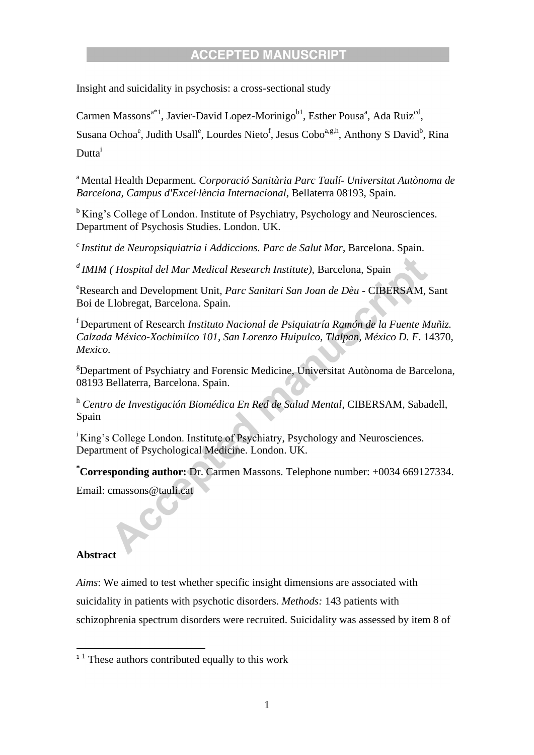Insight and suicidality in psychosis: a cross-sectional study

Carmen Massons<sup>a\*1</sup>, Javier-David Lopez-Morinigo<sup>b1</sup>, Esther Pousa<sup>a</sup>, Ada Ruiz<sup>cd</sup>,

Susana Ochoa<sup>e</sup>, Judith Usall<sup>e</sup>, Lourdes Nieto<sup>f</sup>, Jesus Cobo<sup>a,g,h</sup>, Anthony S David<sup>b</sup>, Rina Dutta<sup>i</sup>

<sup>a</sup> Mental Health Deparment. Corporació Sanitària Parc Taulí- Universitat Autònoma de *Barcelona, Campus d'Excel·lència Internacional*, Bellaterra 08193, Spain.

<sup>b</sup>King's College of London. Institute of Psychiatry, Psychology and Neurosciences. Department of Psychosis Studies. London. UK.

*<sup>c</sup>Institut de Neuropsiquiatria i Addiccions. Parc de Salut Mar*, Barcelona. Spain.

*<sup>d</sup>IMIM ( Hospital del Mar Medical Research Institute),* Barcelona, Spain

<sup>e</sup>Research and Development Unit, *Parc Sanitari San Joan de Dèu* - CIBERSAM, Sant Boi de Llobregat, Barcelona. Spain.

<sup>f</sup>Department of Research *Instituto Nacional de Psiquiatría Ramón de la Fuente Muñiz. Calzada México-Xochimilco 101, San Lorenzo Huipulco, Tlalpan, México D. F*. 14370, *Mexico.*

<sup>g</sup>Department of Psychiatry and Forensic Medicine, Universitat Autònoma de Barcelona, 08193 Bellaterra, Barcelona. Spain.

<sup>h</sup> *Centro de Investigación Biomédica En Red de Salud Mental*, CIBERSAM, Sabadell, Spain

<sup>i</sup>King's College London. Institute of Psychiatry, Psychology and Neurosciences. Department of Psychological Medicine. London. UK.

**\*Corresponding author:** Dr. Carmen Massons. Telephone number: +0034 669127334.

Email: cmassons@tauli.cat

### **Abstract**

**.** 

*Aims*: We aimed to test whether specific insight dimensions are associated with suicidality in patients with psychotic disorders. *Methods:* 143 patients with schizophrenia spectrum disorders were recruited. Suicidality was assessed by item 8 of

 $1<sup>1</sup>$  These authors contributed equally to this work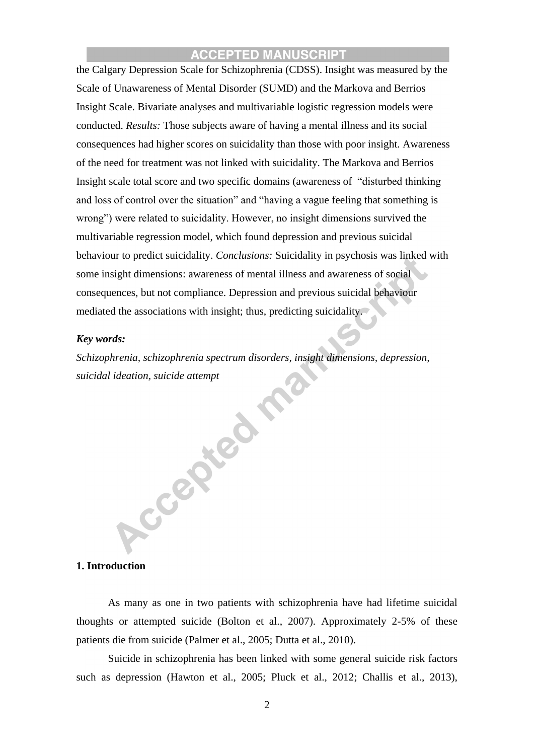the Calgary Depression Scale for Schizophrenia (CDSS). Insight was measured by the Scale of Unawareness of Mental Disorder (SUMD) and the Markova and Berrios Insight Scale. Bivariate analyses and multivariable logistic regression models were conducted. *Results:* Those subjects aware of having a mental illness and its social consequences had higher scores on suicidality than those with poor insight. Awareness of the need for treatment was not linked with suicidality. The Markova and Berrios Insight scale total score and two specific domains (awareness of "disturbed thinking and loss of control over the situation" and "having a vague feeling that something is wrong") were related to suicidality. However, no insight dimensions survived the multivariable regression model, which found depression and previous suicidal behaviour to predict suicidality. *Conclusions:* Suicidality in psychosis was linked with some insight dimensions: awareness of mental illness and awareness of social consequences, but not compliance. Depression and previous suicidal behaviour mediated the associations with insight; thus, predicting suicidality.

#### *Key words:*

*Schizophrenia, schizophrenia spectrum disorders, insight dimensions, depression, suicidal ideation, suicide attempt*

#### **1. Introduction**

As many as one in two patients with schizophrenia have had lifetime suicidal thoughts or attempted suicide (Bolton et al., 2007). Approximately 2-5% of these patients die from suicide (Palmer et al., 2005; Dutta et al., 2010).

Suicide in schizophrenia has been linked with some general suicide risk factors such as depression (Hawton et al., 2005; Pluck et al., 2012; Challis et al., 2013),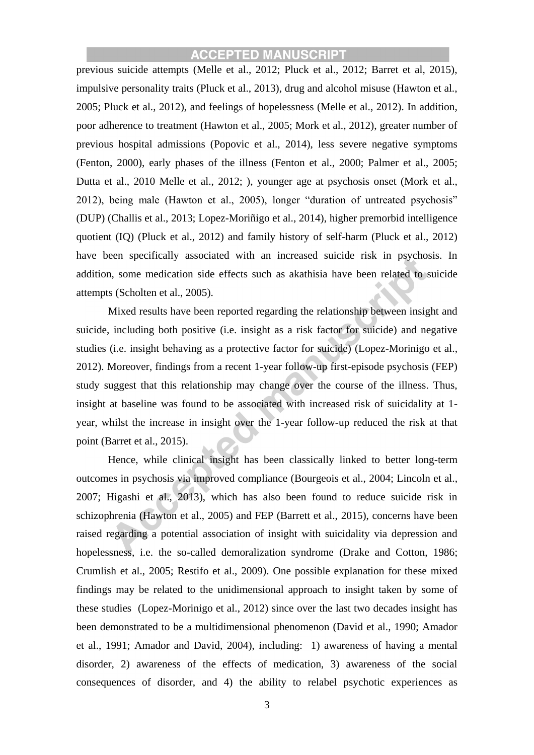previous suicide attempts (Melle et al., 2012; Pluck et al., 2012; Barret et al, 2015), impulsive personality traits (Pluck et al., 2013), drug and alcohol misuse (Hawton et al., 2005; Pluck et al., 2012), and feelings of hopelessness (Melle et al., 2012). In addition, poor adherence to treatment (Hawton et al., 2005; Mork et al., 2012), greater number of previous hospital admissions (Popovic et al., 2014), less severe negative symptoms (Fenton, 2000), early phases of the illness (Fenton et al., 2000; Palmer et al., 2005; Dutta et al., 2010 Melle et al., 2012; ), younger age at psychosis onset (Mork et al., 2012), being male (Hawton et al., 2005), longer "duration of untreated psychosis" (DUP) (Challis et al., 2013; Lopez-Moriñigo et al., 2014), higher premorbid intelligence quotient (IQ) (Pluck et al., 2012) and family history of self-harm (Pluck et al., 2012) have been specifically associated with an increased suicide risk in psychosis. In addition, some medication side effects such as akathisia have been related to suicide attempts (Scholten et al., 2005).

Mixed results have been reported regarding the relationship between insight and suicide, including both positive (i.e. insight as a risk factor for suicide) and negative studies (i.e. insight behaving as a protective factor for suicide) (Lopez-Morinigo et al., 2012). Moreover, findings from a recent 1-year follow-up first-episode psychosis (FEP) study suggest that this relationship may change over the course of the illness. Thus, insight at baseline was found to be associated with increased risk of suicidality at 1 year, whilst the increase in insight over the 1-year follow-up reduced the risk at that point (Barret et al., 2015).

Hence, while clinical insight has been classically linked to better long-term outcomes in psychosis via improved compliance (Bourgeois et al., 2004; Lincoln et al., 2007; Higashi et al., 2013), which has also been found to reduce suicide risk in schizophrenia (Hawton et al., 2005) and FEP (Barrett et al., 2015), concerns have been raised regarding a potential association of insight with suicidality via depression and hopelessness, i.e. the so-called demoralization syndrome (Drake and Cotton, 1986; Crumlish et al., 2005; Restifo et al., 2009). One possible explanation for these mixed findings may be related to the unidimensional approach to insight taken by some of these studies (Lopez-Morinigo et al., 2012) since over the last two decades insight has been demonstrated to be a multidimensional phenomenon (David et al., 1990; Amador et al., 1991; Amador and David, 2004), including: 1) awareness of having a mental disorder, 2) awareness of the effects of medication, 3) awareness of the social consequences of disorder, and 4) the ability to relabel psychotic experiences as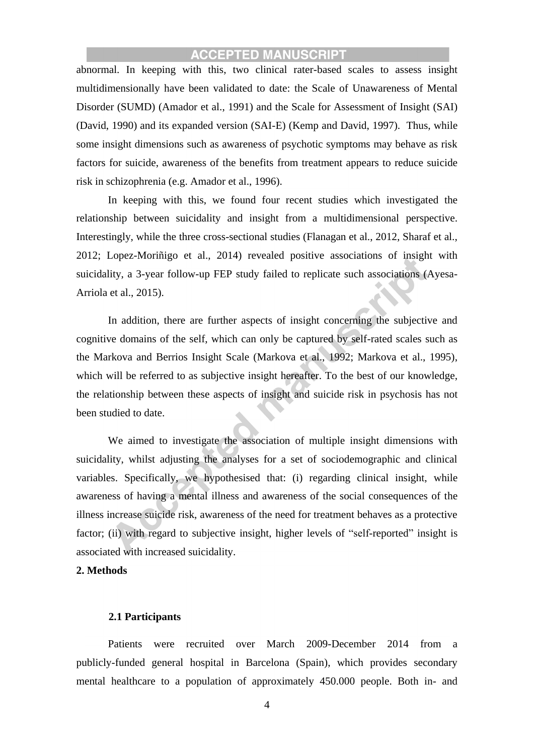abnormal. In keeping with this, two clinical rater-based scales to assess insight multidimensionally have been validated to date: the Scale of Unawareness of Mental Disorder (SUMD) (Amador et al., 1991) and the Scale for Assessment of Insight (SAI) (David, 1990) and its expanded version (SAI-E) (Kemp and David, 1997). Thus, while some insight dimensions such as awareness of psychotic symptoms may behave as risk factors for suicide, awareness of the benefits from treatment appears to reduce suicide risk in schizophrenia (e.g. Amador et al., 1996).

In keeping with this, we found four recent studies which investigated the relationship between suicidality and insight from a multidimensional perspective. Interestingly, while the three cross-sectional studies (Flanagan et al., 2012, Sharaf et al., 2012; Lopez-Moriñigo et al., 2014) revealed positive associations of insight with suicidality, a 3-year follow-up FEP study failed to replicate such associations (Ayesa-Arriola et al., 2015).

In addition, there are further aspects of insight concerning the subjective and cognitive domains of the self, which can only be captured by self-rated scales such as the Markova and Berrios Insight Scale (Markova et al., 1992; Markova et al., 1995), which will be referred to as subjective insight hereafter. To the best of our knowledge, the relationship between these aspects of insight and suicide risk in psychosis has not been studied to date.

We aimed to investigate the association of multiple insight dimensions with suicidality, whilst adjusting the analyses for a set of sociodemographic and clinical variables. Specifically, we hypothesised that: (i) regarding clinical insight, while awareness of having a mental illness and awareness of the social consequences of the illness increase suicide risk, awareness of the need for treatment behaves as a protective factor; (ii) with regard to subjective insight, higher levels of "self-reported" insight is associated with increased suicidality.

#### **2. Methods**

#### **2.1 Participants**

Patients were recruited over March 2009-December 2014 from a publicly-funded general hospital in Barcelona (Spain), which provides secondary mental healthcare to a population of approximately 450.000 people. Both in- and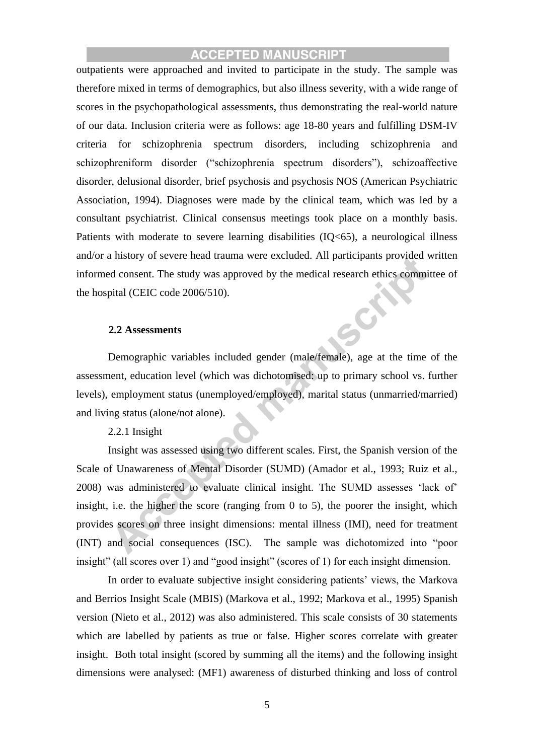outpatients were approached and invited to participate in the study. The sample was therefore mixed in terms of demographics, but also illness severity, with a wide range of scores in the psychopathological assessments, thus demonstrating the real-world nature of our data. Inclusion criteria were as follows: age 18-80 years and fulfilling DSM-IV criteria for schizophrenia spectrum disorders, including schizophrenia and schizophreniform disorder ("schizophrenia spectrum disorders"), schizoaffective disorder, delusional disorder, brief psychosis and psychosis NOS (American Psychiatric Association, 1994). Diagnoses were made by the clinical team, which was led by a consultant psychiatrist. Clinical consensus meetings took place on a monthly basis. Patients with moderate to severe learning disabilities (IQ<65), a neurological illness and/or a history of severe head trauma were excluded. All participants provided written informed consent. The study was approved by the medical research ethics committee of the hospital (CEIC code 2006/510).

#### **2.2 Assessments**

Demographic variables included gender (male/female), age at the time of the assessment, education level (which was dichotomised: up to primary school vs. further levels), employment status (unemployed/employed), marital status (unmarried/married) and living status (alone/not alone).

#### 2.2.1 Insight

Insight was assessed using two different scales. First, the Spanish version of the Scale of Unawareness of Mental Disorder (SUMD) (Amador et al., 1993; Ruiz et al., 2008) was administered to evaluate clinical insight. The SUMD assesses 'lack of' insight, i.e. the higher the score (ranging from 0 to 5), the poorer the insight, which provides scores on three insight dimensions: mental illness (IMI), need for treatment (INT) and social consequences (ISC). The sample was dichotomized into "poor insight" (all scores over 1) and "good insight" (scores of 1) for each insight dimension.

In order to evaluate subjective insight considering patients' views, the Markova and Berrios Insight Scale (MBIS) (Markova et al., 1992; Markova et al., 1995) Spanish version (Nieto et al., 2012) was also administered. This scale consists of 30 statements which are labelled by patients as true or false. Higher scores correlate with greater insight. Both total insight (scored by summing all the items) and the following insight dimensions were analysed: (MF1) awareness of disturbed thinking and loss of control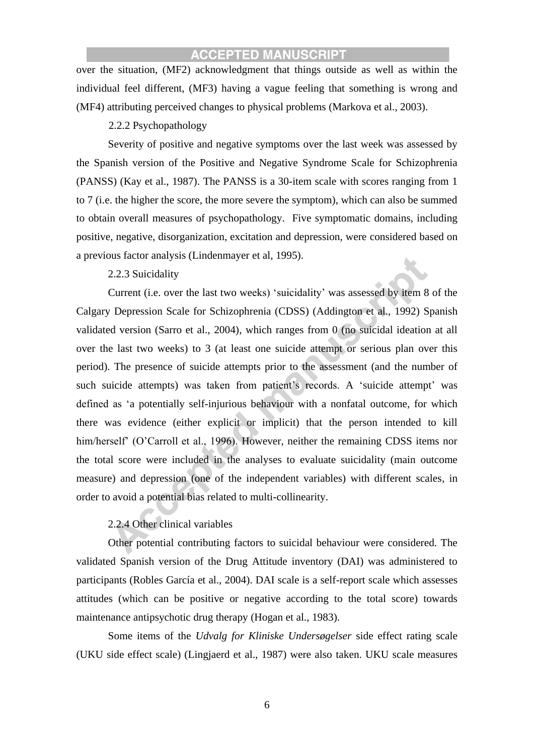over the situation, (MF2) acknowledgment that things outside as well as within the individual feel different, (MF3) having a vague feeling that something is wrong and (MF4) attributing perceived changes to physical problems (Markova et al., 2003).

### 2.2.2 Psychopathology

Severity of positive and negative symptoms over the last week was assessed by the Spanish version of the Positive and Negative Syndrome Scale for Schizophrenia (PANSS) (Kay et al., 1987). The PANSS is a 30-item scale with scores ranging from 1 to 7 (i.e. the higher the score, the more severe the symptom), which can also be summed to obtain overall measures of psychopathology. Five symptomatic domains, including positive, negative, disorganization, excitation and depression, were considered based on a previous factor analysis (Lindenmayer et al, 1995).

### 2.2.3 Suicidality

Current (i.e. over the last two weeks) 'suicidality' was assessed by item 8 of the Calgary Depression Scale for Schizophrenia (CDSS) (Addington et al., 1992) Spanish validated version (Sarro et al., 2004), which ranges from 0 (no suicidal ideation at all over the last two weeks) to 3 (at least one suicide attempt or serious plan over this period). The presence of suicide attempts prior to the assessment (and the number of such suicide attempts) was taken from patient's records. A 'suicide attempt' was defined as 'a potentially self-injurious behaviour with a nonfatal outcome, for which there was evidence (either explicit or implicit) that the person intended to kill him/herself' (O'Carroll et al., 1996). However, neither the remaining CDSS items nor the total score were included in the analyses to evaluate suicidality (main outcome measure) and depression (one of the independent variables) with different scales, in order to avoid a potential bias related to multi-collinearity.

### 2.2.4 Other clinical variables

Other potential contributing factors to suicidal behaviour were considered. The validated Spanish version of the Drug Attitude inventory (DAI) was administered to participants (Robles García et al., 2004). DAI scale is a self-report scale which assesses attitudes (which can be positive or negative according to the total score) towards maintenance antipsychotic drug therapy (Hogan et al., 1983).

Some items of the *Udvalg for Kliniske Undersøgelser* side effect rating scale (UKU side effect scale) (Lingjaerd et al., 1987) were also taken. UKU scale measures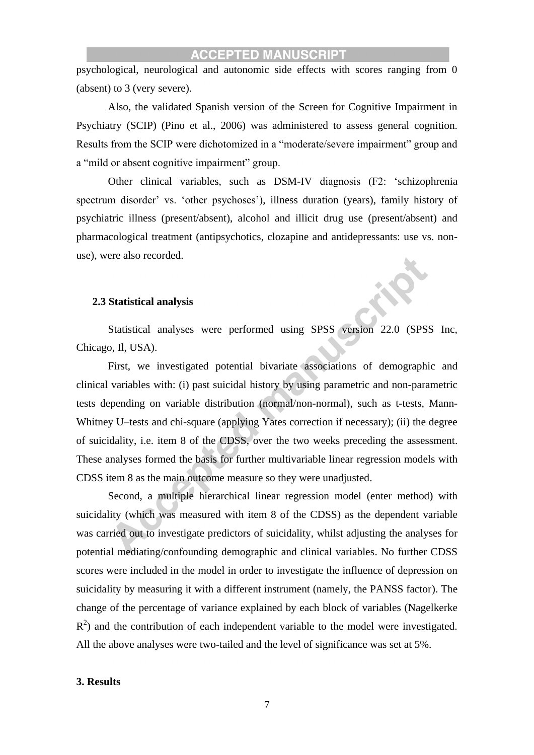psychological, neurological and autonomic side effects with scores ranging from 0 (absent) to 3 (very severe).

Also, the validated Spanish version of the Screen for Cognitive Impairment in Psychiatry (SCIP) (Pino et al., 2006) was administered to assess general cognition. Results from the SCIP were dichotomized in a "moderate/severe impairment" group and a "mild or absent cognitive impairment" group.

Other clinical variables, such as DSM-IV diagnosis (F2: 'schizophrenia spectrum disorder' vs. 'other psychoses'), illness duration (years), family history of psychiatric illness (present/absent), alcohol and illicit drug use (present/absent) and pharmacological treatment (antipsychotics, clozapine and antidepressants: use vs. nonuse), were also recorded.

#### **2.3 Statistical analysis**

Statistical analyses were performed using SPSS version 22.0 (SPSS Inc, Chicago, Il, USA).

First, we investigated potential bivariate associations of demographic and clinical variables with: (i) past suicidal history by using parametric and non-parametric tests depending on variable distribution (normal/non-normal), such as t-tests, Mann-Whitney U–tests and chi-square (applying Yates correction if necessary); (ii) the degree of suicidality, i.e. item 8 of the CDSS, over the two weeks preceding the assessment. These analyses formed the basis for further multivariable linear regression models with CDSS item 8 as the main outcome measure so they were unadjusted.

Second, a multiple hierarchical linear regression model (enter method) with suicidality (which was measured with item 8 of the CDSS) as the dependent variable was carried out to investigate predictors of suicidality, whilst adjusting the analyses for potential mediating/confounding demographic and clinical variables. No further CDSS scores were included in the model in order to investigate the influence of depression on suicidality by measuring it with a different instrument (namely, the PANSS factor). The change of the percentage of variance explained by each block of variables (Nagelkerke  $R<sup>2</sup>$ ) and the contribution of each independent variable to the model were investigated. All the above analyses were two-tailed and the level of significance was set at 5%.

### **3. Results**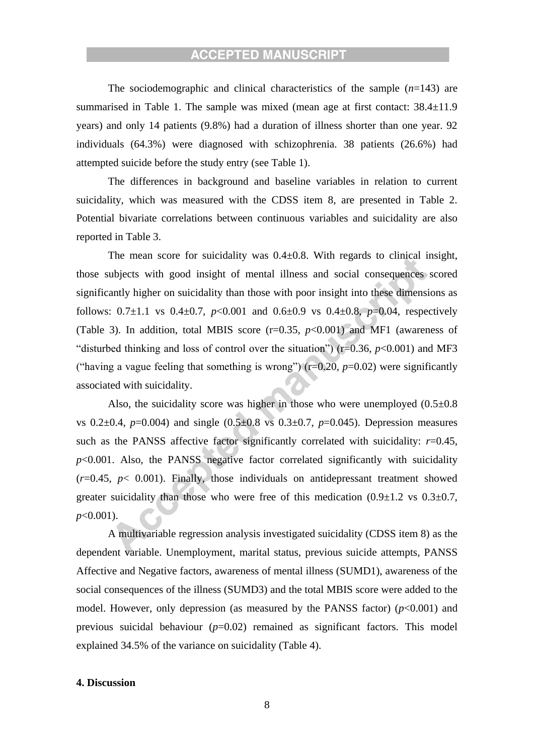The sociodemographic and clinical characteristics of the sample (*n*=143) are summarised in Table 1. The sample was mixed (mean age at first contact:  $38.4 \pm 11.9$ ) years) and only 14 patients (9.8%) had a duration of illness shorter than one year. 92 individuals (64.3%) were diagnosed with schizophrenia. 38 patients (26.6%) had attempted suicide before the study entry (see Table 1).

The differences in background and baseline variables in relation to current suicidality, which was measured with the CDSS item 8, are presented in Table 2. Potential bivariate correlations between continuous variables and suicidality are also reported in Table 3.

The mean score for suicidality was  $0.4 \pm 0.8$ . With regards to clinical insight, those subjects with good insight of mental illness and social consequences scored significantly higher on suicidality than those with poor insight into these dimensions as follows:  $0.7\pm1.1$  vs  $0.4\pm0.7$ ,  $p<0.001$  and  $0.6\pm0.9$  vs  $0.4\pm0.8$ ,  $p=0.04$ , respectively (Table 3). In addition, total MBIS score  $(r=0.35, p<0.001)$  and MF1 (awareness of "disturbed thinking and loss of control over the situation") ( $r=0.36$ ,  $p<0.001$ ) and MF3 ("having a vague feeling that something is wrong")  $(r=0.20, p=0.02)$  were significantly associated with suicidality.

Also, the suicidality score was higher in those who were unemployed  $(0.5\pm0.8)$ vs  $0.2\pm0.4$ ,  $p=0.004$ ) and single  $(0.5\pm0.8$  vs  $0.3\pm0.7$ ,  $p=0.045$ ). Depression measures such as the PANSS affective factor significantly correlated with suicidality:  $r=0.45$ ,  $p$ <0.001. Also, the PANSS negative factor correlated significantly with suicidality  $(r=0.45, p< 0.001)$ . Finally, those individuals on antidepressant treatment showed greater suicidality than those who were free of this medication  $(0.9\pm1.2 \text{ vs } 0.3\pm0.7,$ *p*<0.001).

A multivariable regression analysis investigated suicidality (CDSS item 8) as the dependent variable. Unemployment, marital status, previous suicide attempts, PANSS Affective and Negative factors, awareness of mental illness (SUMD1), awareness of the social consequences of the illness (SUMD3) and the total MBIS score were added to the model. However, only depression (as measured by the PANSS factor)  $(p<0.001)$  and previous suicidal behaviour  $(p=0.02)$  remained as significant factors. This model explained 34.5% of the variance on suicidality (Table 4).

### **4. Discussion**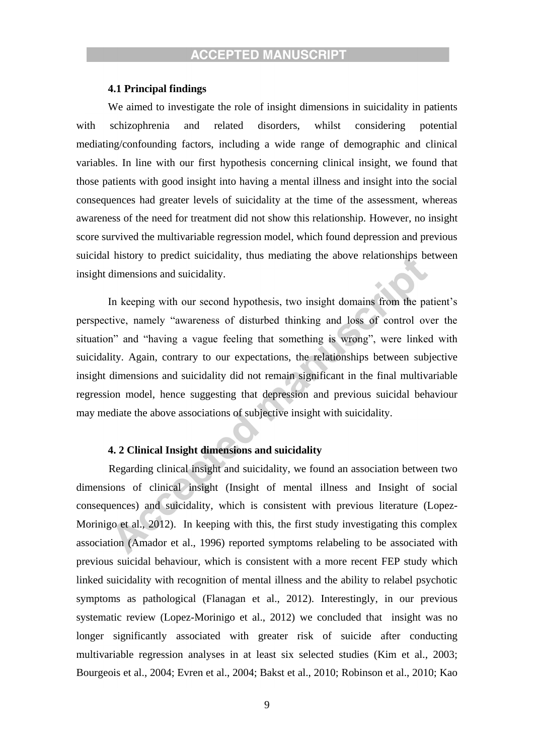### **4.1 Principal findings**

We aimed to investigate the role of insight dimensions in suicidality in patients with schizophrenia and related disorders, whilst considering potential mediating/confounding factors, including a wide range of demographic and clinical variables. In line with our first hypothesis concerning clinical insight, we found that those patients with good insight into having a mental illness and insight into the social consequences had greater levels of suicidality at the time of the assessment, whereas awareness of the need for treatment did not show this relationship. However, no insight score survived the multivariable regression model, which found depression and previous suicidal history to predict suicidality, thus mediating the above relationships between insight dimensions and suicidality.

In keeping with our second hypothesis, two insight domains from the patient's perspective, namely "awareness of disturbed thinking and loss of control over the situation" and "having a vague feeling that something is wrong", were linked with suicidality. Again, contrary to our expectations, the relationships between subjective insight dimensions and suicidality did not remain significant in the final multivariable regression model, hence suggesting that depression and previous suicidal behaviour may mediate the above associations of subjective insight with suicidality.

### **4. 2 Clinical Insight dimensions and suicidality**

Regarding clinical insight and suicidality, we found an association between two dimensions of clinical insight (Insight of mental illness and Insight of social consequences) and suicidality, which is consistent with previous literature (Lopez-Morinigo et al., 2012). In keeping with this, the first study investigating this complex association (Amador et al., 1996) reported symptoms relabeling to be associated with previous suicidal behaviour, which is consistent with a more recent FEP study which linked suicidality with recognition of mental illness and the ability to relabel psychotic symptoms as pathological (Flanagan et al., 2012). Interestingly, in our previous systematic review (Lopez-Morinigo et al., 2012) we concluded that insight was no longer significantly associated with greater risk of suicide after conducting multivariable regression analyses in at least six selected studies (Kim et al., 2003; Bourgeois et al., 2004; Evren et al., 2004; Bakst et al., 2010; Robinson et al., 2010; Kao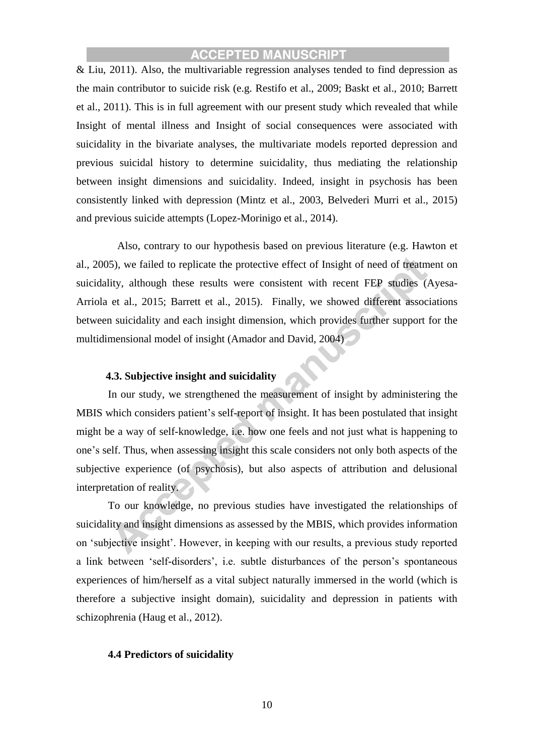& Liu, 2011). Also, the multivariable regression analyses tended to find depression as the main contributor to suicide risk (e.g. Restifo et al., 2009; Baskt et al., 2010; Barrett et al., 2011). This is in full agreement with our present study which revealed that while Insight of mental illness and Insight of social consequences were associated with suicidality in the bivariate analyses, the multivariate models reported depression and previous suicidal history to determine suicidality, thus mediating the relationship between insight dimensions and suicidality. Indeed, insight in psychosis has been consistently linked with depression (Mintz et al., 2003, Belvederi Murri et al., 2015) and previous suicide attempts (Lopez-Morinigo et al., 2014).

Also, contrary to our hypothesis based on previous literature (e.g. Hawton et al., 2005), we failed to replicate the protective effect of Insight of need of treatment on suicidality, although these results were consistent with recent FEP studies (Ayesa-Arriola et al., 2015; Barrett et al., 2015). Finally, we showed different associations between suicidality and each insight dimension, which provides further support for the multidimensional model of insight (Amador and David, 2004)

### **4.3. Subjective insight and suicidality**

In our study, we strengthened the measurement of insight by administering the MBIS which considers patient's self-report of insight. It has been postulated that insight might be a way of self-knowledge, i.e. how one feels and not just what is happening to one's self. Thus, when assessing insight this scale considers not only both aspects of the subjective experience (of psychosis), but also aspects of attribution and delusional interpretation of reality.

To our knowledge, no previous studies have investigated the relationships of suicidality and insight dimensions as assessed by the MBIS, which provides information on 'subjective insight'. However, in keeping with our results, a previous study reported a link between 'self-disorders', i.e. subtle disturbances of the person's spontaneous experiences of him/herself as a vital subject naturally immersed in the world (which is therefore a subjective insight domain), suicidality and depression in patients with schizophrenia (Haug et al., 2012).

### **4.4 Predictors of suicidality**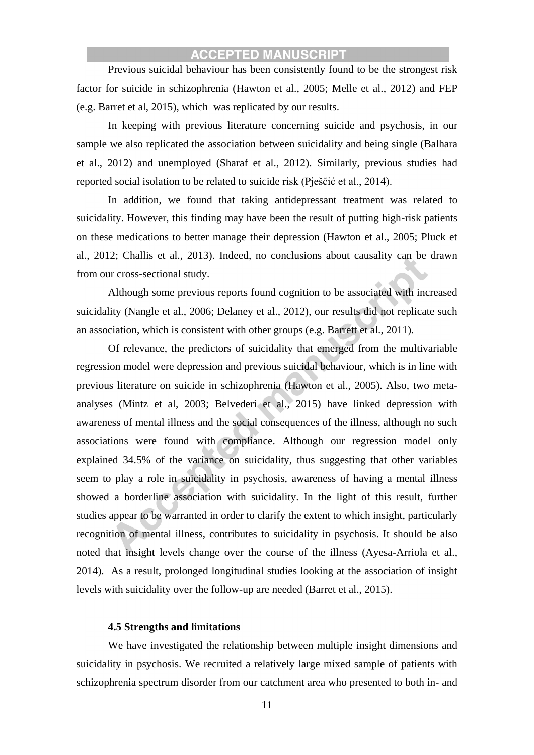Previous suicidal behaviour has been consistently found to be the strongest risk factor for suicide in schizophrenia (Hawton et al., 2005; Melle et al., 2012) and FEP (e.g. Barret et al, 2015), which was replicated by our results.

In keeping with previous literature concerning suicide and psychosis, in our sample we also replicated the association between suicidality and being single (Balhara et al., 2012) and unemployed (Sharaf et al., 2012). Similarly, previous studies had reported social isolation to be related to suicide risk (Pješčić et al., 2014).

In addition, we found that taking antidepressant treatment was related to suicidality. However, this finding may have been the result of putting high-risk patients on these medications to better manage their depression (Hawton et al., 2005; Pluck et al., 2012; Challis et al., 2013). Indeed, no conclusions about causality can be drawn from our cross-sectional study.

Although some previous reports found cognition to be associated with increased suicidality (Nangle et al., 2006; Delaney et al., 2012), our results did not replicate such an association, which is consistent with other groups (e.g. Barrett et al., 2011).

Of relevance, the predictors of suicidality that emerged from the multivariable regression model were depression and previous suicidal behaviour, which is in line with previous literature on suicide in schizophrenia (Hawton et al., 2005). Also, two metaanalyses (Mintz et al, 2003; Belvederi et al., 2015) have linked depression with awareness of mental illness and the social consequences of the illness, although no such associations were found with compliance. Although our regression model only explained 34.5% of the variance on suicidality, thus suggesting that other variables seem to play a role in suicidality in psychosis, awareness of having a mental illness showed a borderline association with suicidality. In the light of this result, further studies appear to be warranted in order to clarify the extent to which insight, particularly recognition of mental illness, contributes to suicidality in psychosis. It should be also noted that insight levels change over the course of the illness (Ayesa-Arriola et al., 2014). As a result, prolonged longitudinal studies looking at the association of insight levels with suicidality over the follow-up are needed (Barret et al., 2015).

#### **4.5 Strengths and limitations**

We have investigated the relationship between multiple insight dimensions and suicidality in psychosis. We recruited a relatively large mixed sample of patients with schizophrenia spectrum disorder from our catchment area who presented to both in- and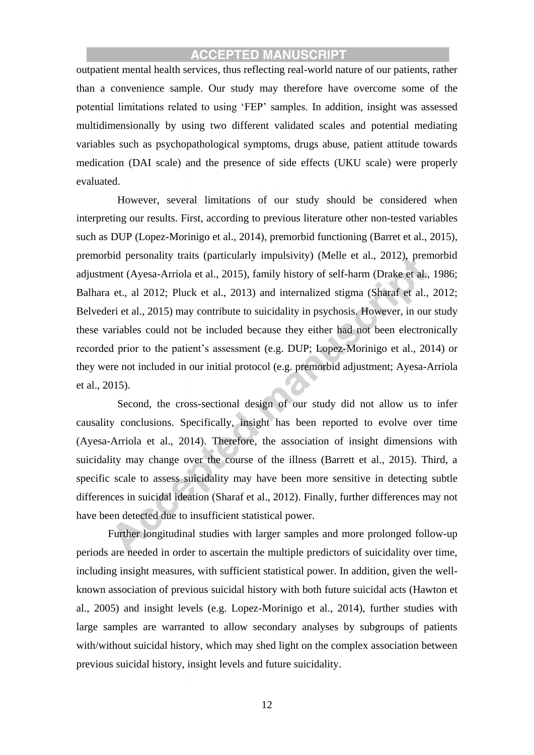outpatient mental health services, thus reflecting real-world nature of our patients, rather than a convenience sample. Our study may therefore have overcome some of the potential limitations related to using 'FEP' samples. In addition, insight was assessed multidimensionally by using two different validated scales and potential mediating variables such as psychopathological symptoms, drugs abuse, patient attitude towards medication (DAI scale) and the presence of side effects (UKU scale) were properly evaluated.

However, several limitations of our study should be considered when interpreting our results. First, according to previous literature other non-tested variables such as DUP (Lopez-Morinigo et al., 2014), premorbid functioning (Barret et al., 2015), premorbid personality traits (particularly impulsivity) (Melle et al., 2012), premorbid adjustment (Ayesa-Arriola et al., 2015), family history of self-harm (Drake et al., 1986; Balhara et., al 2012; Pluck et al., 2013) and internalized stigma (Sharaf et al., 2012; Belvederi et al., 2015) may contribute to suicidality in psychosis. However, in our study these variables could not be included because they either had not been electronically recorded prior to the patient's assessment (e.g. DUP; Lopez-Morinigo et al., 2014) or they were not included in our initial protocol (e.g. premorbid adjustment; Ayesa-Arriola et al., 2015).

Second, the cross-sectional design of our study did not allow us to infer causality conclusions. Specifically, insight has been reported to evolve over time (Ayesa-Arriola et al., 2014). Therefore, the association of insight dimensions with suicidality may change over the course of the illness (Barrett et al., 2015). Third, a specific scale to assess suicidality may have been more sensitive in detecting subtle differences in suicidal ideation (Sharaf et al., 2012). Finally, further differences may not have been detected due to insufficient statistical power.

 Further longitudinal studies with larger samples and more prolonged follow-up periods are needed in order to ascertain the multiple predictors of suicidality over time, including insight measures, with sufficient statistical power. In addition, given the wellknown association of previous suicidal history with both future suicidal acts (Hawton et al., 2005) and insight levels (e.g. Lopez-Morinigo et al., 2014), further studies with large samples are warranted to allow secondary analyses by subgroups of patients with/without suicidal history, which may shed light on the complex association between previous suicidal history, insight levels and future suicidality.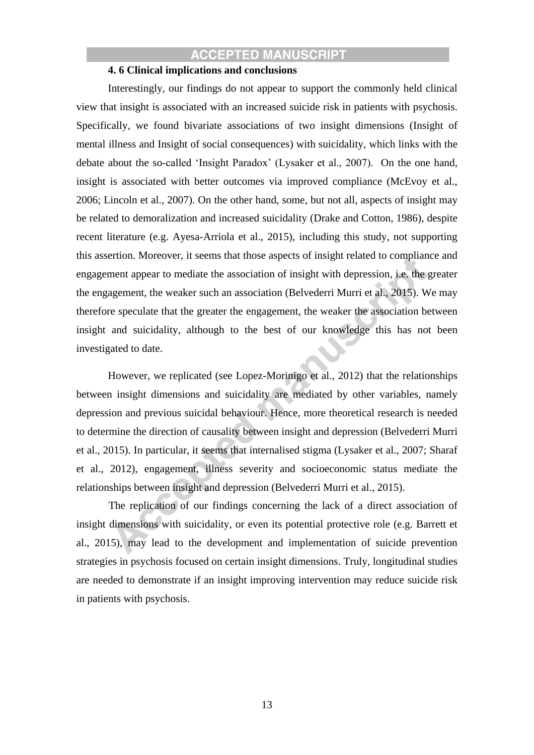### **4. 6 Clinical implications and conclusions**

Interestingly, our findings do not appear to support the commonly held clinical view that insight is associated with an increased suicide risk in patients with psychosis. Specifically, we found bivariate associations of two insight dimensions (Insight of mental illness and Insight of social consequences) with suicidality, which links with the debate about the so-called 'Insight Paradox' (Lysaker et al., 2007). On the one hand, insight is associated with better outcomes via improved compliance (McEvoy et al., 2006; Lincoln et al., 2007). On the other hand, some, but not all, aspects of insight may be related to demoralization and increased suicidality (Drake and Cotton, 1986), despite recent literature (e.g. Ayesa-Arriola et al., 2015), including this study, not supporting this assertion. Moreover, it seems that those aspects of insight related to compliance and engagement appear to mediate the association of insight with depression, i.e. the greater the engagement, the weaker such an association (Belvederri Murri et al., 2015). We may therefore speculate that the greater the engagement, the weaker the association between insight and suicidality, although to the best of our knowledge this has not been investigated to date.

However, we replicated (see Lopez-Morinigo et al., 2012) that the relationships between insight dimensions and suicidality are mediated by other variables, namely depression and previous suicidal behaviour. Hence, more theoretical research is needed to determine the direction of causality between insight and depression (Belvederri Murri et al., 2015). In particular, it seems that internalised stigma (Lysaker et al., 2007; Sharaf et al., 2012), engagement, illness severity and socioeconomic status mediate the relationships between insight and depression (Belvederri Murri et al., 2015).

The replication of our findings concerning the lack of a direct association of insight dimensions with suicidality, or even its potential protective role (e.g. Barrett et al., 2015), may lead to the development and implementation of suicide prevention strategies in psychosis focused on certain insight dimensions. Truly, longitudinal studies are needed to demonstrate if an insight improving intervention may reduce suicide risk in patients with psychosis.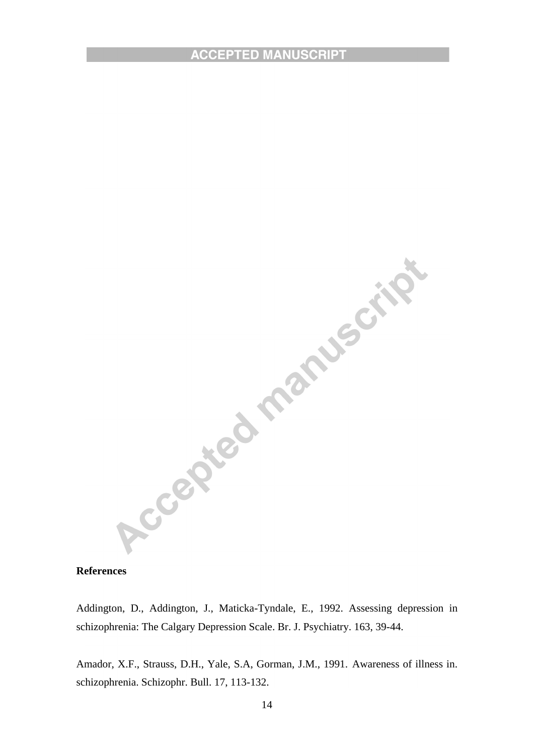

### **References**

schizophrenia: The Calgary Depression Scale. Br. J. Psychiatry. 163, 39-44.

Amador, X.F., Strauss, D.H., Yale, S.A, Gorman, J.M., 1991. Awareness of illness in. schizophrenia. Schizophr. Bull. 17, 113-132.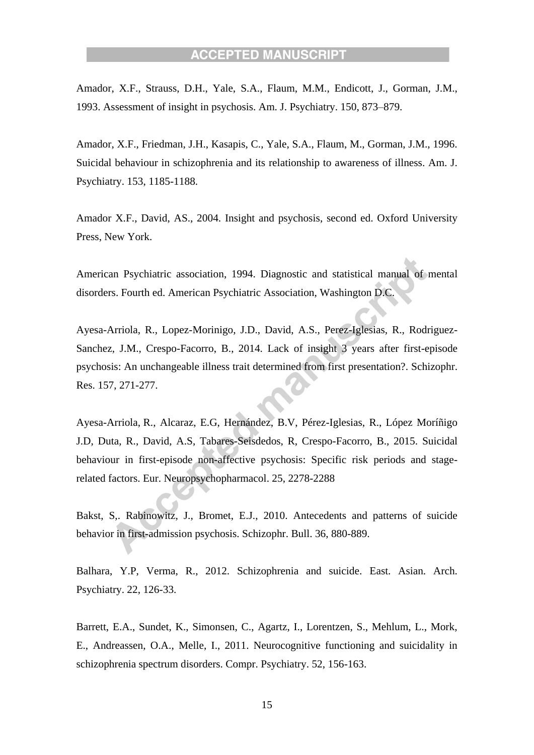Amador, X.F., Strauss, D.H., Yale, S.A., Flaum, M.M., Endicott, J., Gorman, J.M., 1993. Assessment of insight in psychosis. Am. J. Psychiatry. 150, 873–879.

Amador, X.F., Friedman, J.H., Kasapis, C., Yale, S.A., Flaum, M., Gorman, J.M., 1996. Suicidal behaviour in schizophrenia and its relationship to awareness of illness. Am. J. Psychiatry. 153, 1185-1188.

Amador X.F., David, AS., 2004. Insight and psychosis, second ed. Oxford University Press, New York.

American Psychiatric association, 1994. Diagnostic and statistical manual of mental disorders. Fourth ed. American Psychiatric Association, Washington D.C.

Ayesa-Arriola, R., Lopez-Morinigo, J.D., David, A.S., Perez-Iglesias, R., Rodriguez-Sanchez, J.M., Crespo-Facorro, B., 2014. Lack of insight 3 years after first-episode psychosis: An unchangeable illness trait determined from first presentation?. Schizophr. Res. 157, 271-277.

Ayesa-Arriola, R., Alcaraz, E.G, Hernández, B.V, Pérez-Iglesias, R., López Moríñigo J.D, Duta, R., David, A.S, Tabares-Seisdedos, R, Crespo-Facorro, B., 2015. Suicidal behaviour in first-episode non-affective psychosis: Specific risk periods and stagerelated factors. Eur. Neuropsychopharmacol. 25, 2278-2288

Bakst, S,. Rabinowitz, J., Bromet, E.J., 2010. Antecedents and patterns of suicide behavior in first-admission psychosis. Schizophr. Bull. 36, 880-889.

Balhara, Y.P, Verma, R., 2012. Schizophrenia and suicide. East. Asian. Arch. Psychiatry. 22, 126-33.

Barrett, E.A., Sundet, K., Simonsen, C., Agartz, I., Lorentzen, S., Mehlum, L., Mork, E., Andreassen, O.A., Melle, I., 2011. Neurocognitive functioning and suicidality in schizophrenia spectrum disorders. Compr. Psychiatry. 52, 156-163.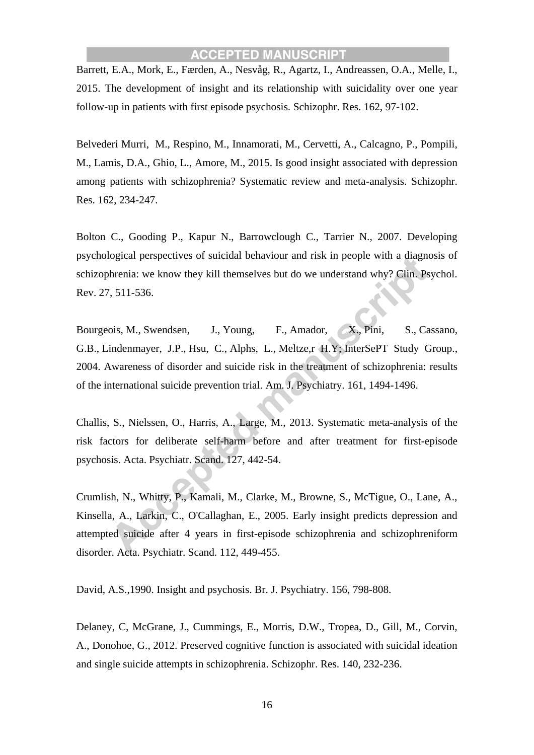Barrett, E.A., Mork, E., Færden, A., Nesvåg, R., Agartz, I., Andreassen, O.A., Melle, I., 2015. The development of insight and its relationship with suicidality over one year follow-up in patients with first episode psychosis. Schizophr. Res. 162, 97-102.

Belvederi Murri, M., Respino, M., Innamorati, M., Cervetti, A., Calcagno, P., Pompili, M., Lamis, D.A., Ghio, L., Amore, M., 2015. Is good insight associated with depression among patients with schizophrenia? Systematic review and meta-analysis. Schizophr. Res. 162, 234-247.

Bolton C., Gooding P., Kapur N., Barrowclough C., Tarrier N., 2007. Developing psychological perspectives of suicidal behaviour and risk in people with a diagnosis of schizophrenia: we know they kill themselves but do we understand why? Clin. Psychol. Rev. 27, 511-536.

Bourgeois, M., [Swendsen,](http://www.ncbi.nlm.nih.gov/pubmed/?term=Swendsen%20J%5BAuthor%5D&cauthor=true&cauthor_uid=15285981) J., [Young, F.](http://www.ncbi.nlm.nih.gov/pubmed/?term=Young%20F%5BAuthor%5D&cauthor=true&cauthor_uid=15285981), [Amador, X.](http://www.ncbi.nlm.nih.gov/pubmed/?term=Amador%20X%5BAuthor%5D&cauthor=true&cauthor_uid=15285981), [Pini, S.](http://www.ncbi.nlm.nih.gov/pubmed/?term=Pini%20S%5BAuthor%5D&cauthor=true&cauthor_uid=15285981), [Cassano,](http://www.ncbi.nlm.nih.gov/pubmed/?term=Cassano%20GB%5BAuthor%5D&cauthor=true&cauthor_uid=15285981)  [G.B.](http://www.ncbi.nlm.nih.gov/pubmed/?term=Cassano%20GB%5BAuthor%5D&cauthor=true&cauthor_uid=15285981), [Lindenmayer, J.P.](http://www.ncbi.nlm.nih.gov/pubmed/?term=Lindenmayer%20JP%5BAuthor%5D&cauthor=true&cauthor_uid=15285981), [Hsu, C.](http://www.ncbi.nlm.nih.gov/pubmed/?term=Hsu%20C%5BAuthor%5D&cauthor=true&cauthor_uid=15285981), [Alphs, L.](http://www.ncbi.nlm.nih.gov/pubmed/?term=Alphs%20L%5BAuthor%5D&cauthor=true&cauthor_uid=15285981), [Meltze,r H.Y;](http://www.ncbi.nlm.nih.gov/pubmed/?term=Meltzer%20HY%5BAuthor%5D&cauthor=true&cauthor_uid=15285981) [InterSePT Study Group.](http://www.ncbi.nlm.nih.gov/pubmed/?term=InterSePT%20Study%20Group%5BCorporate%20Author%5D), 2004. Awareness of disorder and suicide risk in the treatment of schizophrenia: results of the international suicide prevention trial. [Am. J. Psychiatry.](http://www.ncbi.nlm.nih.gov/pubmed/15285981) 161, 1494-1496.

Challis, S., Nielssen, O., Harris, A., Large, M., 2013. Systematic meta-analysis of the risk factors for deliberate self-harm before and after treatment for first-episode psychosis. Acta. Psychiatr. Scand. 127, 442-54.

Crumlish, N., Whitty, P., Kamali, M., Clarke, M., Browne, S., McTigue, O., Lane, A., Kinsella, A., Larkin, C., O'Callaghan, E., 2005. Early insight predicts depression and attempted suicide after 4 years in first-episode schizophrenia and schizophreniform disorder. Acta. Psychiatr. Scand. 112, 449-455.

David, A.S.,1990. Insight and psychosis. Br. J. Psychiatry. 156, 798-808.

Delaney, C, McGrane, J., Cummings, E., Morris, D.W., Tropea, D., Gill, M., Corvin, A., Donohoe, G., 2012. Preserved cognitive function is associated with suicidal ideation and single suicide attempts in schizophrenia. Schizophr. Res. 140, 232-236.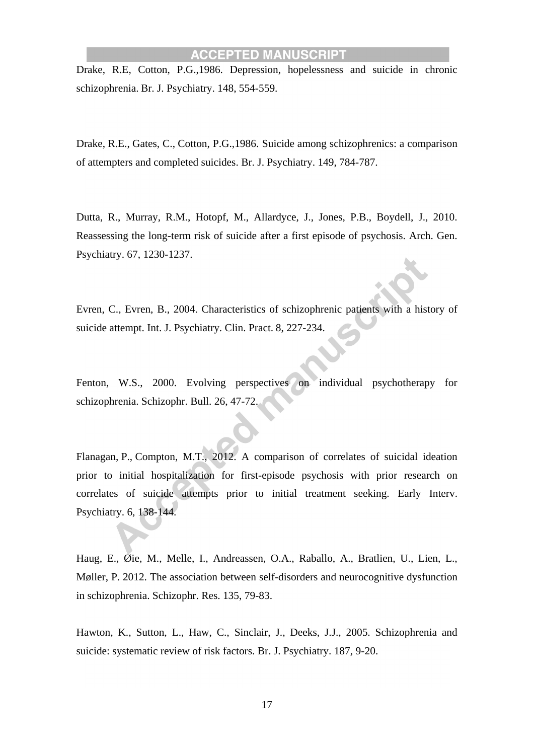Drake, R.E, Cotton, P.G.,1986. Depression, hopelessness and suicide in chronic schizophrenia. Br. J. Psychiatry. 148, 554-559.

Drake, R.E., [Gates, C.](http://www.ncbi.nlm.nih.gov/pubmed/?term=Gates%20C%5BAuthor%5D&cauthor=true&cauthor_uid=3790880), [Cotton, P.G.](http://www.ncbi.nlm.nih.gov/pubmed/?term=Cotton%20PG%5BAuthor%5D&cauthor=true&cauthor_uid=3790880),1986. Suicide among schizophrenics: a comparison of attempters and completed suicides. [Br. J. Psychiatry.](http://www.ncbi.nlm.nih.gov/pubmed/3790880) 149, 784-787.

Dutta, R., Murray, R.M., Hotopf, M., Allardyce, J., Jones, P.B., Boydell, J., 2010. Reassessing the long-term risk of suicide after a first episode of psychosis. Arch. Gen. Psychiatry. 67, 1230-1237.

Evren, C., Evren, B., 2004. Characteristics of schizophrenic patients with a history of suicide attempt. Int. J. Psychiatry. Clin. Pract. 8, 227-234.

Fenton, W.S., 2000. Evolving perspectives on individual psychotherapy for schizophrenia. Schizophr. Bull. 26, 47-72.

Flanagan, P., [Compton, M.T.](http://www.ncbi.nlm.nih.gov/pubmed/?term=Compton%20MT%5BAuthor%5D&cauthor=true&cauthor_uid=22168759), 2012. A comparison of correlates of suicidal ideation prior to initial hospitalization for first-episode psychosis with prior research on correlates of suicide attempts prior to initial treatment seeking. [Early Interv.](http://www.ncbi.nlm.nih.gov/pubmed/22168759) [Psychiatry.](http://www.ncbi.nlm.nih.gov/pubmed/22168759) 6, 138-144.

Haug, E., Øie, M., Melle, I., Andreassen, O.A., Raballo, A., Bratlien, U., Lien, L., Møller, P. 2012. The association between self-disorders and neurocognitive dysfunction in schizophrenia. Schizophr. Res. 135, 79-83.

Hawton, K., Sutton, L., Haw, C., Sinclair, J., Deeks, J.J., 2005. Schizophrenia and suicide: systematic review of risk factors. Br. J. Psychiatry. 187, 9-20.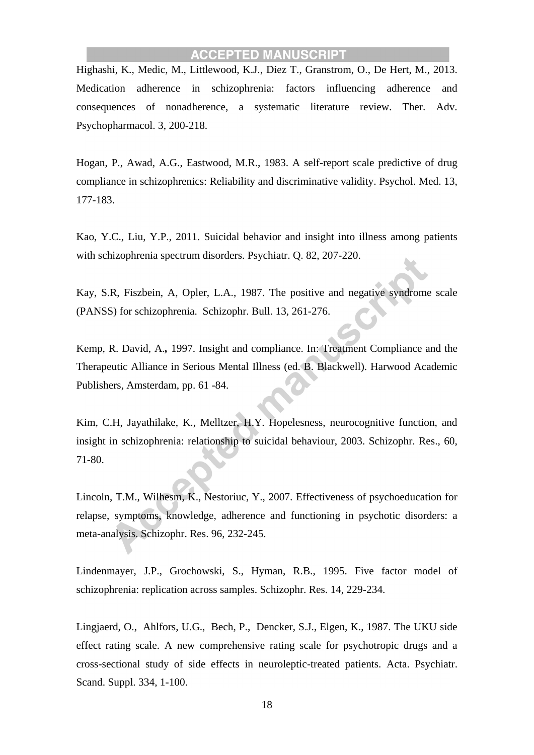Highashi, K., Medic, M., Littlewood, K.J., Diez T., Granstrom, O., De Hert, M., 2013. Medication adherence in schizophrenia: factors influencing adherence and consequences of nonadherence, a systematic literature review. Ther. Adv. Psychopharmacol. 3, 200-218.

Hogan, P., Awad, A.G., Eastwood, M.R., 1983. A self-report scale predictive of drug compliance in schizophrenics: Reliability and discriminative validity. Psychol. Med. 13, 177-183.

Kao, Y.C., Liu, Y.P., 2011. Suicidal behavior and insight into illness among patients with schizophrenia spectrum disorders. Psychiatr. Q. 82, 207-220.

Kay, S.R, Fiszbein, A, Opler, L.A., 1987. The positive and negative syndrome scale (PANSS) for schizophrenia. Schizophr. Bull. 13, 261-276.

Kemp, R. David, A.*,* 1997. Insight and compliance. In: Treatment Compliance and the Therapeutic Alliance in Serious Mental Illness (ed. B. Blackwell). Harwood Academic Publishers, Amsterdam, pp. 61 -84.

Kim, C.H, Jayathilake, K., Melltzer, H.Y. Hopelesness, neurocognitive function, and insight in schizophrenia: relationship to suicidal behaviour, 2003. Schizophr. Res., 60, 71-80.

Lincoln, T.M., Wilhesm, K., Nestoriuc, Y., 2007. Effectiveness of psychoeducation for relapse, symptoms, knowledge, adherence and functioning in psychotic disorders: a meta-analysis. Schizophr. Res. 96, 232-245.

Lindenmayer, J.P., Grochowski, S., Hyman, R.B., 1995. Five factor model of schizophrenia: replication across samples. Schizophr. Res. 14, 229-234.

Lingjaerd, O., Ahlfors, U.G., Bech, P., Dencker, S.J., Elgen, K., 1987. The UKU side effect rating scale. A new comprehensive rating scale for psychotropic drugs and a cross-sectional study of side effects in neuroleptic-treated patients. Acta. Psychiatr. Scand. Suppl. 334, 1-100.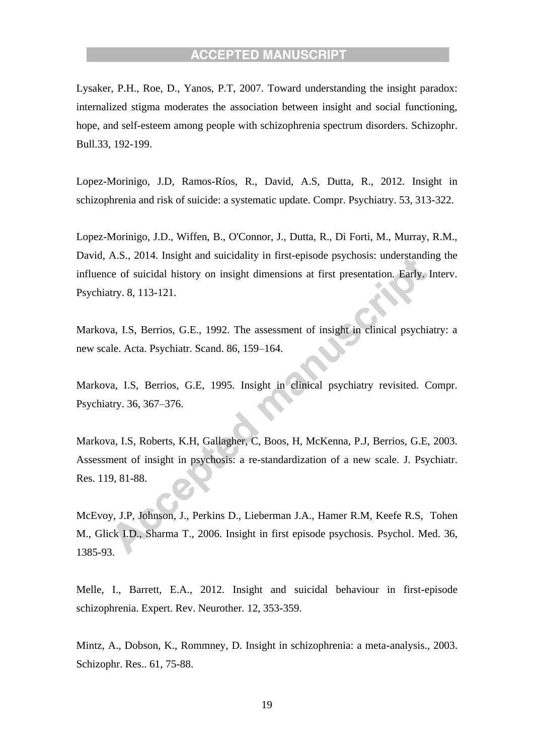Lysaker, P.H., Roe, D., Yanos, P.T, 2007. Toward understanding the insight paradox: internalized stigma moderates the association between insight and social functioning, hope, and self-esteem among people with schizophrenia spectrum disorders. Schizophr. Bull.33, 192-199.

Lopez-Morinigo, J.D, Ramos-Ríos, R., David, A.S, Dutta, R., 2012. Insight in schizophrenia and risk of suicide: a systematic update. Compr. Psychiatry. 53, 313-322.

Lopez-Morinigo, J.D., Wiffen, B., O'Connor, J., Dutta, R., Di Forti, M., Murray, R.M., David, A.S., 2014. Insight and suicidality in first-episode psychosis: understanding the influence of suicidal history on insight dimensions at first presentation. Early. Interv. Psychiatry. 8, 113-121.

Markova, I.S, Berrios, G.E., 1992. The assessment of insight in clinical psychiatry: a new scale. Acta. Psychiatr. Scand. 86, 159–164.

Markova, I.S, Berrios, G.E, 1995. Insight in clinical psychiatry revisited. Compr. Psychiatry. 36, 367–376.

Markova, I.S, Roberts, K.H, Gallagher, C, Boos, H, McKenna, P.J, Berrios, G.E, 2003. Assessment of insight in psychosis: a re-standardization of a new scale. J. Psychiatr. Res. 119, 81-88.

McEvoy, J.P, Johnson, J., Perkins D., Lieberman J.A., Hamer R.M, Keefe R.S, Tohen M., Glick I.D., Sharma T., 2006. Insight in first episode psychosis. Psychol. Med. 36, 1385-93.

Melle, I., Barrett, E.A., 2012. Insight and suicidal behaviour in first-episode schizophrenia. Expert. Rev. Neurother. 12, 353-359.

Mintz, A., Dobson, K., Rommney, D. Insight in schizophrenia: a meta-analysis., 2003. Schizophr. Res.. 61, 75-88.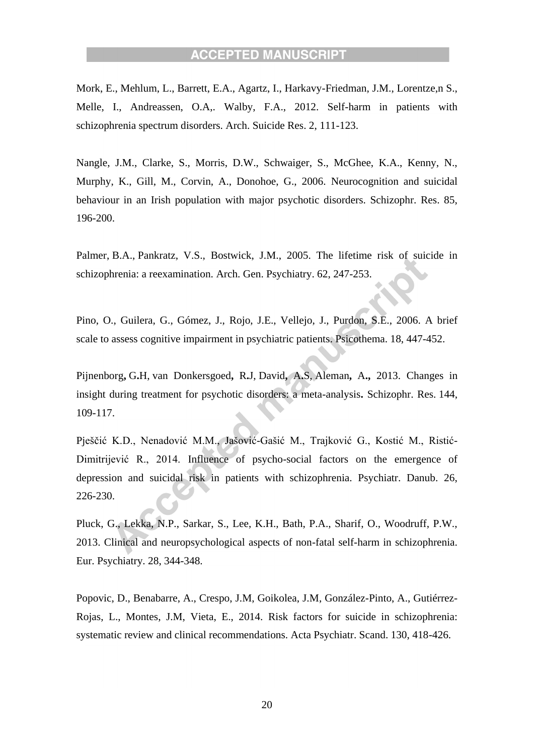Mork, E., Mehlum, L., Barrett, E.A., Agartz, I., Harkavy-Friedman, J.M., Lorentze,n S., Melle, I., Andreassen, O.A,. Walby, F.A., 2012. Self-harm in patients with schizophrenia spectrum disorders. Arch. Suicide Res. 2, 111-123.

Nangle, J.M., Clarke, S., Morris, D.W., Schwaiger, S., McGhee, K.A., Kenny, N., Murphy, K., Gill, M., Corvin, A., Donohoe, G., 2006. Neurocognition and suicidal behaviour in an Irish population with major psychotic disorders. Schizophr. Res. 85, 196-200.

Palmer, B.A., [Pankratz, V.S.](http://www.ncbi.nlm.nih.gov/pubmed/?term=Pankratz%20VS%5BAuthor%5D&cauthor=true&cauthor_uid=15753237), [Bostwick, J.M.](http://www.ncbi.nlm.nih.gov/pubmed/?term=Bostwick%20JM%5BAuthor%5D&cauthor=true&cauthor_uid=15753237), 2005. The lifetime risk of suicide in schizophrenia: a reexamination. [Arch. Gen. Psychiatry.](http://www.ncbi.nlm.nih.gov/pubmed/15753237) 62, 247-253.

Pino, O., Guilera, G., Gómez, J., Rojo, J.E., Vellejo, J., Purdon, S.E., 2006. A brief scale to assess cognitive impairment in psychiatric patients. Psicothema. 18, 447-452.

Pijnenborg**,** G**.**H, [van Donkersgoed](http://www.ncbi.nlm.nih.gov/pubmed/?term=van%20Donkersgoed%20RJ%5BAuthor%5D&cauthor=true&cauthor_uid=23305612)**,** R**.**J, [David](http://www.ncbi.nlm.nih.gov/pubmed/?term=David%20AS%5BAuthor%5D&cauthor=true&cauthor_uid=23305612)**,** A**.**S, [Aleman](http://www.ncbi.nlm.nih.gov/pubmed/?term=Aleman%20A%5BAuthor%5D&cauthor=true&cauthor_uid=23305612)**,** A**.,** 2013. Changes in insight during treatment for psychotic disorders: a meta-analysis**.** [Schizophr. Res.](http://www.ncbi.nlm.nih.gov/pubmed/23305612) 144, 109-117.

Pješčić K.D., Nenadović M.M., Jašović-Gašić M., Trajković G., Kostić M., Ristić-Dimitrijević R., 2014. Influence of psycho-social factors on the emergence of depression and suicidal risk in patients with schizophrenia. Psychiatr. Danub. 26, 226-230.

Pluck, G., Lekka, N.P., Sarkar, S., Lee, K.H., Bath, P.A., Sharif, O., Woodruff, P.W., 2013. Clinical and neuropsychological aspects of non-fatal self-harm in schizophrenia. Eur. Psychiatry. 28, 344-348.

Popovic, D., Benabarre, A., Crespo, J.M, Goikolea, J.M, González-Pinto, A., Gutiérrez-Rojas, L., Montes, J.M, Vieta, E., 2014. Risk factors for suicide in schizophrenia: systematic review and clinical recommendations. Acta Psychiatr. Scand. 130, 418-426.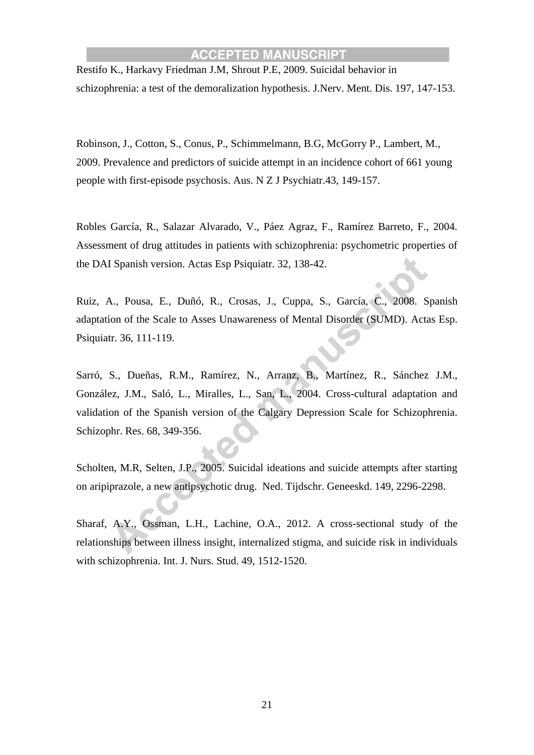[Restifo](https://www.ncbi.nlm.nih.gov/pubmed/?term=Restifo%20K%5BAuthor%5D&cauthor=true&cauthor_uid=19282679) K., [Harkavy Friedman J.M,](https://www.ncbi.nlm.nih.gov/pubmed/?term=Harkavy-Friedman%20JM%5BAuthor%5D&cauthor=true&cauthor_uid=19282679) [Shrout P.E,](https://www.ncbi.nlm.nih.gov/pubmed/?term=Shrout%20PE%5BAuthor%5D&cauthor=true&cauthor_uid=19282679) 2009. Suicidal behavior in schizophrenia: a test of the demoralization hypothesis. [J.Nerv. Ment. Dis.](https://www.ncbi.nlm.nih.gov/pubmed/19282679) 197, 147-153.

Robinson, J., Cotton, S., Conus, P., Schimmelmann, B.G, McGorry P., Lambert, M., 2009. Prevalence and predictors of suicide attempt in an incidence cohort of 661 young people with first-episode psychosis. Aus. N Z J Psychiatr.43, 149-157.

Robles García, R., Salazar Alvarado, V., Páez Agraz, F., Ramírez Barreto, F., 2004. Assessment of drug attitudes in patients with schizophrenia: psychometric properties of the DAI Spanish version. Actas Esp Psiquiatr. 32, 138-42.

Ruiz, A., Pousa, E., Duñó, R., Crosas, J., Cuppa, S., García, C., 2008. Spanish adaptation of the Scale to Asses Unawareness of Mental Disorder (SUMD). Actas Esp. Psiquiatr. 36, 111-119.

Sarró, S., Dueñas, R.M., Ramírez, N., Arranz, B., Martínez, R., Sánchez J.M., González, J.M., Saló, L., Miralles, L., San, L., 2004. Cross-cultural adaptation and validation of the Spanish version of the Calgary Depression Scale for Schizophrenia. Schizophr. Res. 68, 349-356.

Scholten, M.R, Selten, J.P., 2005. Suicidal ideations and suicide attempts after starting on aripiprazole, a new antipsychotic drug. Ned. Tijdschr. Geneeskd. 149, 2296-2298.

Sharaf, A.Y., Ossman, L.H., Lachine, O.A., 2012. A cross-sectional study of the relationships between illness insight, internalized stigma, and suicide risk in individuals with schizophrenia. Int. J. Nurs. Stud. 49, 1512-1520.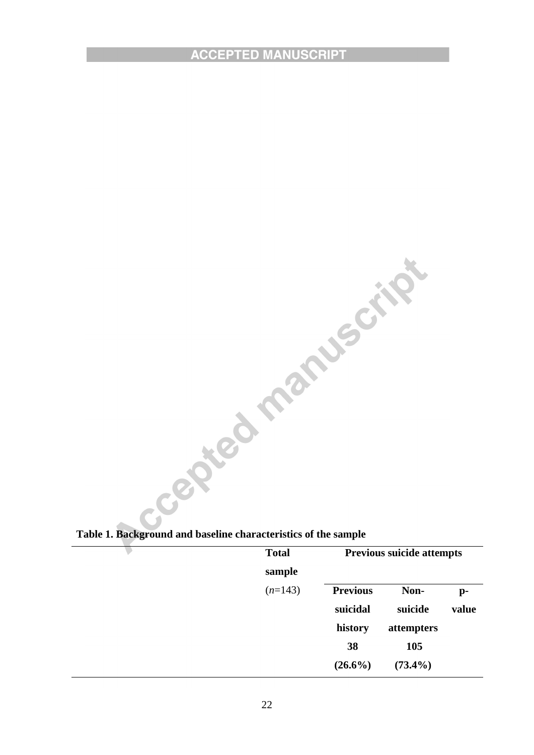**Table 1. Background and baseline characteristics of the sample**

| <b>Total</b><br>sample | <b>Previous suicide attempts</b> |                 |             |
|------------------------|----------------------------------|-----------------|-------------|
| $(n=143)$              | <b>Previous</b><br>suicidal      | Non-<br>suicide | p-<br>value |
|                        | history                          | attempters      |             |
|                        | 38                               | 105             |             |
|                        | $(26.6\%)$                       | $(73.4\%)$      |             |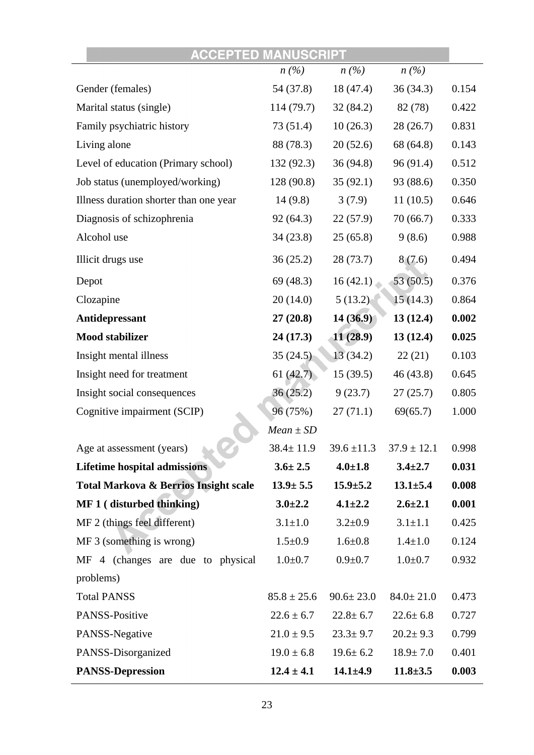| <b>ACCEPTED MANUSCRIPT</b>                       |                 |                 |                 |       |
|--------------------------------------------------|-----------------|-----------------|-----------------|-------|
|                                                  | n(%)            | n(%)            | n(%)            |       |
| Gender (females)                                 | 54 (37.8)       | 18 (47.4)       | 36(34.3)        | 0.154 |
| Marital status (single)                          | 114 (79.7)      | 32(84.2)        | 82 (78)         | 0.422 |
| Family psychiatric history                       | 73 (51.4)       | 10(26.3)        | 28(26.7)        | 0.831 |
| Living alone                                     | 88 (78.3)       | 20(52.6)        | 68 (64.8)       | 0.143 |
| Level of education (Primary school)              | 132 (92.3)      | 36(94.8)        | 96(91.4)        | 0.512 |
| Job status (unemployed/working)                  | 128 (90.8)      | 35(92.1)        | 93 (88.6)       | 0.350 |
| Illness duration shorter than one year           | 14(9.8)         | 3(7.9)          | 11(10.5)        | 0.646 |
| Diagnosis of schizophrenia                       | 92(64.3)        | 22(57.9)        | 70(66.7)        | 0.333 |
| Alcohol use                                      | 34(23.8)        | 25(65.8)        | 9(8.6)          | 0.988 |
| Illicit drugs use                                | 36(25.2)        | 28(73.7)        | 8(7.6)          | 0.494 |
| Depot                                            | 69(48.3)        | 16(42.1)        | 53(50.5)        | 0.376 |
| Clozapine                                        | 20(14.0)        | 5(13.2)         | 15(14.3)        | 0.864 |
| Antidepressant                                   | 27(20.8)        | 14(36.9)        | 13(12.4)        | 0.002 |
| <b>Mood stabilizer</b>                           | 24 (17.3)       | 11(28.9)        | 13(12.4)        | 0.025 |
| Insight mental illness                           | 35(24.5)        | 13(34.2)        | 22(21)          | 0.103 |
| Insight need for treatment                       | 61(42.7)        | 15(39.5)        | 46 (43.8)       | 0.645 |
| Insight social consequences                      | 36(25.2)        | 9(23.7)         | 27(25.7)        | 0.805 |
| Cognitive impairment (SCIP)                      | 96 (75%)        | 27(71.1)        | 69(65.7)        | 1.000 |
|                                                  | $Mean \pm SD$   |                 |                 |       |
| Age at assessment (years)                        | $38.4 \pm 11.9$ | $39.6 \pm 11.3$ | $37.9 \pm 12.1$ | 0.998 |
| <b>Lifetime hospital admissions</b>              | $3.6 \pm 2.5$   | $4.0 \pm 1.8$   | $3.4 \pm 2.7$   | 0.031 |
| <b>Total Markova &amp; Berrios Insight scale</b> | $13.9 \pm 5.5$  | $15.9 \pm 5.2$  | $13.1 \pm 5.4$  | 0.008 |
| MF 1 (disturbed thinking)                        | $3.0 \pm 2.2$   | $4.1 \pm 2.2$   | $2.6 \pm 2.1$   | 0.001 |
| MF 2 (things feel different)                     | $3.1 \pm 1.0$   | $3.2 \pm 0.9$   | $3.1 \pm 1.1$   | 0.425 |
| MF 3 (something is wrong)                        | $1.5 \pm 0.9$   | $1.6 + 0.8$     | $1.4 \pm 1.0$   | 0.124 |
| MF 4 (changes are due to physical                | $1.0 + 0.7$     | $0.9 + 0.7$     | $1.0 + 0.7$     | 0.932 |
| problems)                                        |                 |                 |                 |       |
| <b>Total PANSS</b>                               | $85.8 \pm 25.6$ | $90.6 \pm 23.0$ | $84.0 \pm 21.0$ | 0.473 |
| PANSS-Positive                                   | $22.6 \pm 6.7$  | $22.8 \pm 6.7$  | $22.6 \pm 6.8$  | 0.727 |
| PANSS-Negative                                   | $21.0 \pm 9.5$  | $23.3 \pm 9.7$  | $20.2 \pm 9.3$  | 0.799 |
| PANSS-Disorganized                               | $19.0 \pm 6.8$  | $19.6 \pm 6.2$  | $18.9 \pm 7.0$  | 0.401 |
| <b>PANSS-Depression</b>                          | $12.4 \pm 4.1$  | $14.1 \pm 4.9$  | $11.8 \pm 3.5$  | 0.003 |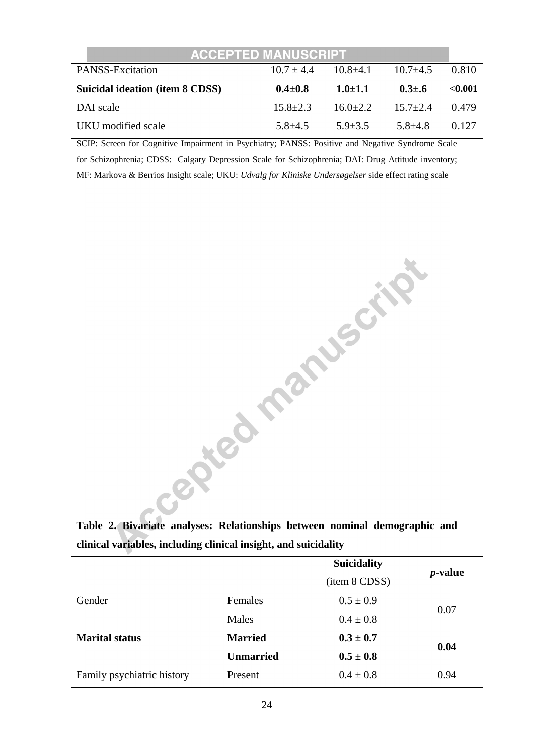| <b>ACCEPTED MANUSCRIPT</b>      |              |              |              |         |
|---------------------------------|--------------|--------------|--------------|---------|
| <b>PANSS-Excitation</b>         | $10.7 + 4.4$ | $10.8 + 4.1$ | $10.7 + 4.5$ | 0.810   |
| Suicidal ideation (item 8 CDSS) | $0.4 + 0.8$  | $1.0 + 1.1$  | $0.3 + 0.6$  | < 0.001 |
| DAI scale                       | $15.8 + 2.3$ | $16.0 + 2.2$ | $15.7 + 2.4$ | 0.479   |
| UKU modified scale              | $5.8 + 4.5$  | $5.9 + 3.5$  | $5.8 + 4.8$  | 0.127   |

SCIP: Screen for Cognitive Impairment in Psychiatry; PANSS: Positive and Negative Syndrome Scale for Schizophrenia; CDSS: Calgary Depression Scale for Schizophrenia; DAI: Drug Attitude inventory; MF: Markova & Berrios Insight scale; UKU: *Udvalg for Kliniske Undersøgelser* side effect rating scale

**SUICE OF THE CITY** 

**Table 2. Bivariate analyses: Relationships between nominal demographic and clinical variables, including clinical insight, and suicidality**

|                            |                  | <b>Suicidality</b> | <i>p</i> -value |  |
|----------------------------|------------------|--------------------|-----------------|--|
|                            |                  | (item 8 CDSS)      |                 |  |
| Gender                     | Females          | $0.5 \pm 0.9$      | 0.07            |  |
|                            | Males            | $0.4 \pm 0.8$      |                 |  |
| <b>Marital status</b>      | <b>Married</b>   |                    | 0.04            |  |
|                            | <b>Unmarried</b> | $0.5 \pm 0.8$      |                 |  |
| Family psychiatric history | Present          | $0.4 \pm 0.8$      | 0.94            |  |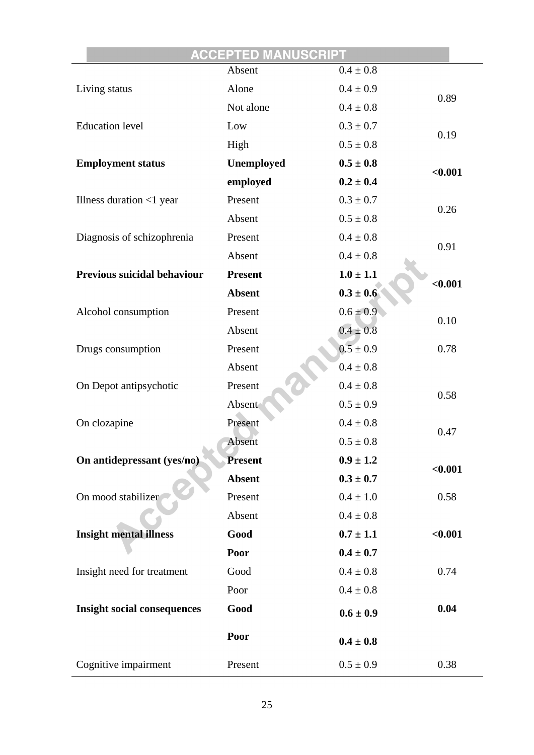|                                    | <b>ACCEPTED MANUSCRIPT</b> |               |         |
|------------------------------------|----------------------------|---------------|---------|
|                                    | Absent                     | $0.4 \pm 0.8$ |         |
| Living status                      | Alone                      | $0.4 \pm 0.9$ | 0.89    |
|                                    | Not alone                  | $0.4\pm0.8$   |         |
| <b>Education level</b>             | Low                        | $0.3 \pm 0.7$ | 0.19    |
|                                    | High                       | $0.5 \pm 0.8$ |         |
| <b>Employment status</b>           | Unemployed                 | $0.5 \pm 0.8$ | < 0.001 |
|                                    | employed                   | $0.2 \pm 0.4$ |         |
| Illness duration $<$ 1 year        | Present                    | $0.3 \pm 0.7$ |         |
|                                    | Absent                     | $0.5\pm0.8$   | 0.26    |
| Diagnosis of schizophrenia         | Present                    | $0.4 \pm 0.8$ |         |
|                                    | Absent                     | $0.4 \pm 0.8$ | 0.91    |
| <b>Previous suicidal behaviour</b> | <b>Present</b>             | $1.0 \pm 1.1$ |         |
|                                    | <b>Absent</b>              | $0.3 \pm 0.6$ | < 0.001 |
| Alcohol consumption                | Present                    | $0.6 \pm 0.9$ |         |
|                                    | Absent                     | $0.4 \pm 0.8$ | 0.10    |
| Drugs consumption                  | Present                    | $0.5 \pm 0.9$ | 0.78    |
|                                    | Absent                     | $0.4 \pm 0.8$ |         |
| On Depot antipsychotic             | Present                    | $0.4 \pm 0.8$ |         |
|                                    | Absent                     | $0.5 \pm 0.9$ | 0.58    |
| On clozapine                       | Present                    | $0.4 \pm 0.8$ |         |
|                                    | Absent                     | $0.5 \pm 0.8$ | 0.47    |
| On antidepressant (yes/no)         | <b>Present</b>             | $0.9 \pm 1.2$ |         |
|                                    | <b>Absent</b>              | $0.3 \pm 0.7$ | $0.001$ |
| On mood stabilizer                 | Present                    | $0.4 \pm 1.0$ | 0.58    |
|                                    | Absent                     | $0.4 \pm 0.8$ |         |
| <b>Insight mental illness</b>      | Good                       | $0.7 \pm 1.1$ | < 0.001 |
|                                    | Poor                       | $0.4 \pm 0.7$ |         |
| Insight need for treatment         | Good                       | $0.4 \pm 0.8$ | 0.74    |
|                                    | Poor                       | $0.4\pm0.8$   |         |
| <b>Insight social consequences</b> | Good                       | $0.6 \pm 0.9$ | 0.04    |
|                                    | Poor                       | $0.4 \pm 0.8$ |         |
| Cognitive impairment               | Present                    | $0.5 \pm 0.9$ | 0.38    |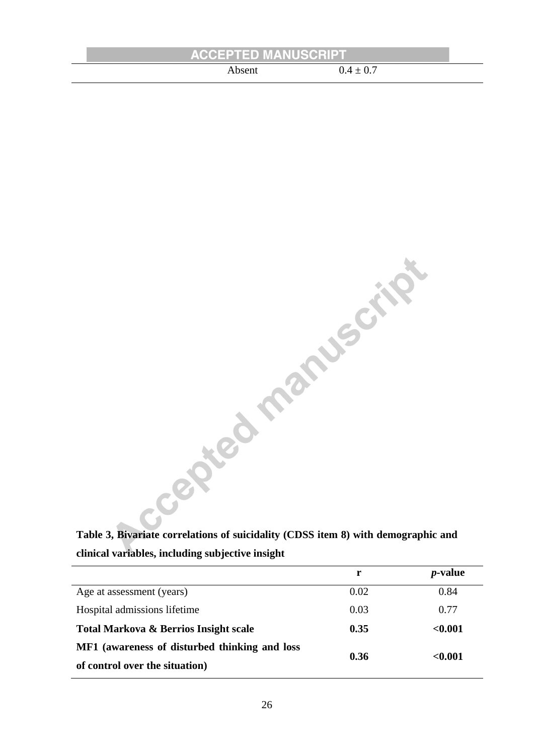| <b>ACCEPTED MANUSCRIPT</b> |               |
|----------------------------|---------------|
| .bsent                     | $0.4 \pm 0.7$ |

| Table 3, Bivariate correlations of suicidality (CDSS item 8) with demographic and |  |
|-----------------------------------------------------------------------------------|--|
| clinical variables, including subjective insight                                  |  |

|                                               | r    | <i>p</i> -value |
|-----------------------------------------------|------|-----------------|
| Age at assessment (years)                     | 0.02 | 0.84            |
| Hospital admissions lifetime                  | 0.03 | 0.77            |
| Total Markova & Berrios Insight scale         | 0.35 | < 0.001         |
| MF1 (awareness of disturbed thinking and loss |      |                 |
| of control over the situation)                | 0.36 | ${<}0.001$      |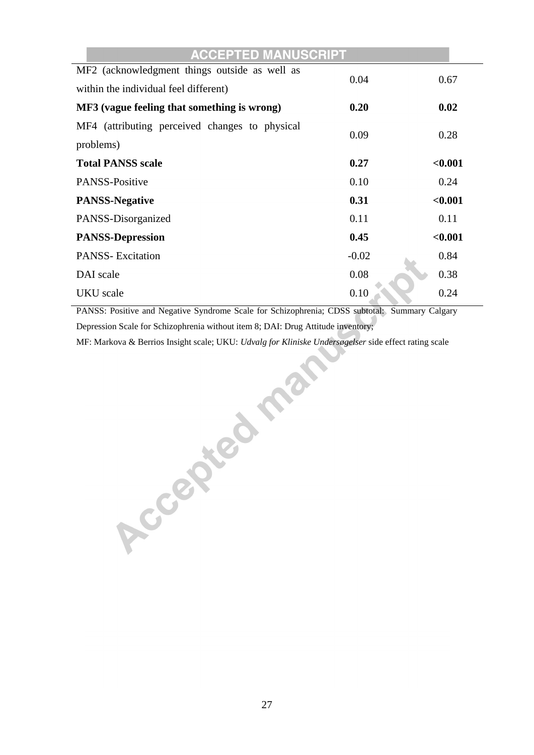| <b>ACCEPTED MANUSCRIPT</b>                     |         |         |
|------------------------------------------------|---------|---------|
| MF2 (acknowledgment things outside as well as  | 0.04    | 0.67    |
| within the individual feel different)          |         |         |
| MF3 (vague feeling that something is wrong)    | 0.20    | 0.02    |
| MF4 (attributing perceived changes to physical |         |         |
| problems)                                      | 0.09    | 0.28    |
| <b>Total PANSS scale</b>                       | 0.27    | < 0.001 |
| <b>PANSS-Positive</b>                          | 0.10    | 0.24    |
| <b>PANSS-Negative</b>                          | 0.31    | < 0.001 |
| PANSS-Disorganized                             | 0.11    | 0.11    |
| <b>PANSS-Depression</b>                        | 0.45    | < 0.001 |
| <b>PANSS-Excitation</b>                        | $-0.02$ | 0.84    |
| DAI scale                                      | 0.08    | 0.38    |
| <b>UKU</b> scale                               | 0.10    | 0.24    |

PANSS: Positive and Negative Syndrome Scale for Schizophrenia; CDSS subtotal: Summary Calgary Depression Scale for Schizophrenia without item 8; DAI: Drug Attitude inventory;

MF: Markova & Berrios Insight scale; UKU: *Udvalg for Kliniske Undersøgelser* side effect rating scale<br>and the United States of the United States of the United States of the United States of the United States of the United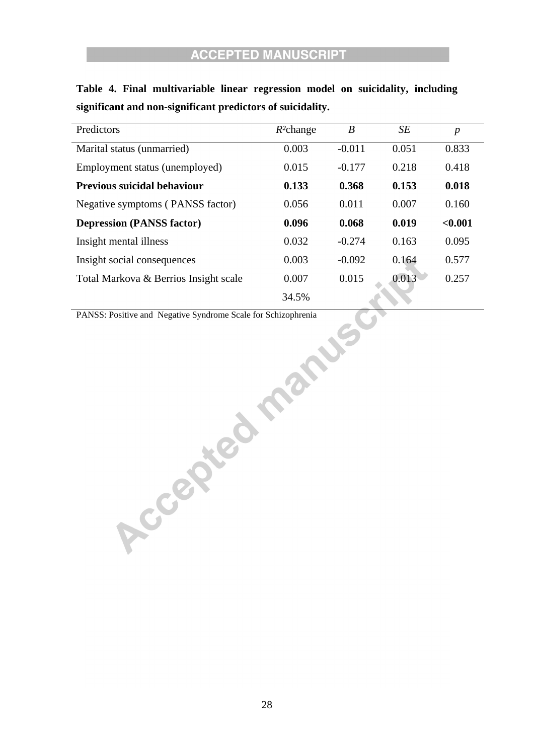| Predictors                                                    | $R^2$ change | $\boldsymbol{B}$ | $\cal SE$ | $\boldsymbol{p}$ |
|---------------------------------------------------------------|--------------|------------------|-----------|------------------|
| Marital status (unmarried)                                    | 0.003        | $-0.011$         | 0.051     | 0.833            |
| Employment status (unemployed)                                | 0.015        | $-0.177$         | 0.218     | 0.418            |
| Previous suicidal behaviour                                   | 0.133        | 0.368            | 0.153     | 0.018            |
| Negative symptoms (PANSS factor)                              | 0.056        | 0.011            | 0.007     | 0.160            |
| <b>Depression (PANSS factor)</b>                              | 0.096        | 0.068            | 0.019     | $0.001$          |
| Insight mental illness                                        | 0.032        | $-0.274$         | 0.163     | 0.095            |
| Insight social consequences                                   | 0.003        | $-0.092$         | 0.164     | 0.577            |
| Total Markova & Berrios Insight scale                         | 0.007        | 0.015            | 0.013     | 0.257            |
|                                                               | 34.5%        |                  |           |                  |
| PANSS: Positive and Negative Syndrome Scale for Schizophrenia |              |                  |           |                  |
|                                                               |              |                  |           |                  |
|                                                               |              |                  |           |                  |
|                                                               | Pant.        |                  |           |                  |
|                                                               |              |                  |           |                  |
| Accepted.                                                     |              |                  |           |                  |
|                                                               |              |                  |           |                  |
|                                                               |              |                  |           |                  |
|                                                               |              |                  |           |                  |
|                                                               |              |                  |           |                  |
|                                                               |              |                  |           |                  |
|                                                               |              |                  |           |                  |
|                                                               |              |                  |           |                  |
|                                                               |              |                  |           |                  |
|                                                               |              |                  |           |                  |
|                                                               |              |                  |           |                  |

**Table 4. Final multivariable linear regression model on suicidality, including significant and non-significant predictors of suicidality.**